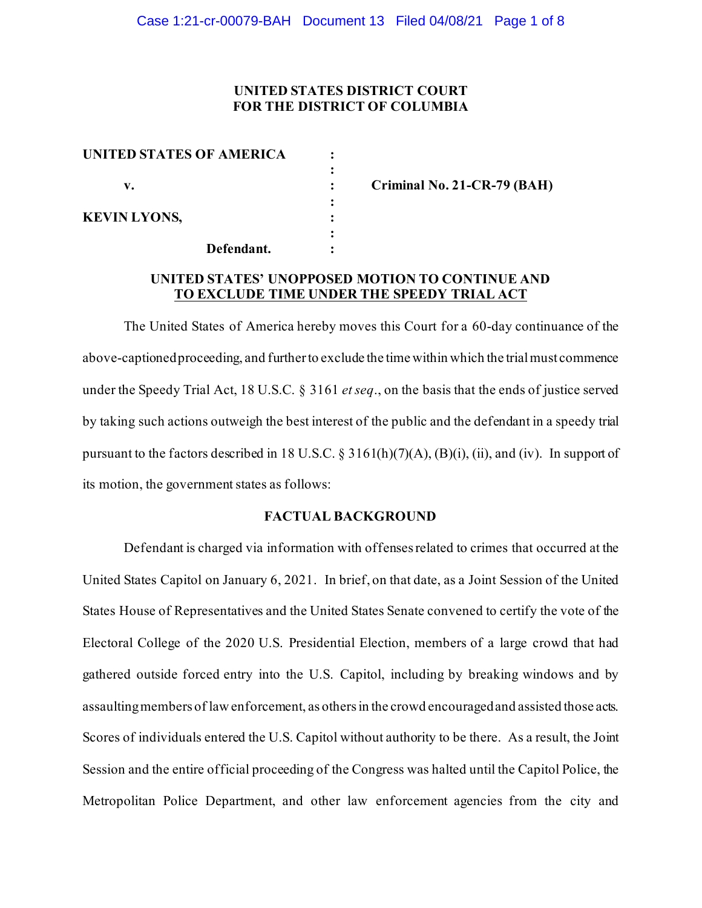### **UNITED STATES DISTRICT COURT FOR THE DISTRICT OF COLUMBIA**

| <b>UNITED STATES OF AMERICA</b> |            |  |
|---------------------------------|------------|--|
| v.                              |            |  |
| <b>KEVIN LYONS,</b>             |            |  |
|                                 | Defendant. |  |

**v. : Criminal No. 21-CR-79 (BAH)**

## **UNITED STATES' UNOPPOSED MOTION TO CONTINUE AND TO EXCLUDE TIME UNDER THE SPEEDY TRIAL ACT**

The United States of America hereby moves this Court for a 60-day continuance of the above-captioned proceeding, and further to exclude the time within which the trial must commence under the Speedy Trial Act, 18 U.S.C. § 3161 *et seq*., on the basis that the ends of justice served by taking such actions outweigh the best interest of the public and the defendant in a speedy trial pursuant to the factors described in 18 U.S.C.  $\S 3161(h)(7)(A)$ ,  $(B)(i)$ , (ii), and (iv). In support of its motion, the government states as follows:

### **FACTUAL BACKGROUND**

Defendant is charged via information with offenses related to crimes that occurred at the United States Capitol on January 6, 2021. In brief, on that date, as a Joint Session of the United States House of Representatives and the United States Senate convened to certify the vote of the Electoral College of the 2020 U.S. Presidential Election, members of a large crowd that had gathered outside forced entry into the U.S. Capitol, including by breaking windows and by assaulting members of law enforcement, as others in the crowd encouraged and assisted those acts. Scores of individuals entered the U.S. Capitol without authority to be there. As a result, the Joint Session and the entire official proceeding of the Congress was halted until the Capitol Police, the Metropolitan Police Department, and other law enforcement agencies from the city and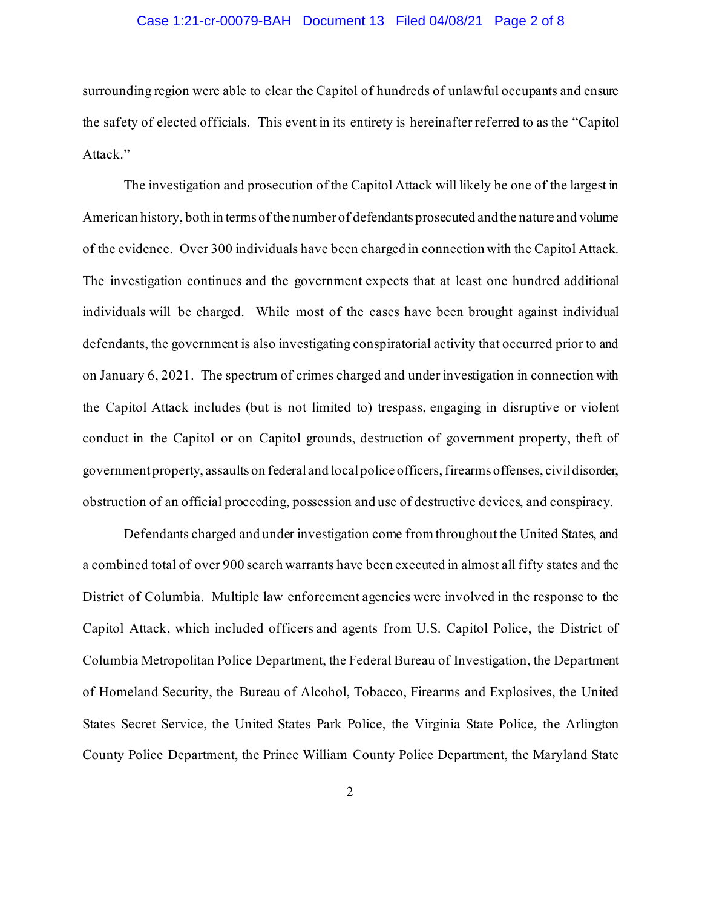### Case 1:21-cr-00079-BAH Document 13 Filed 04/08/21 Page 2 of 8

surrounding region were able to clear the Capitol of hundreds of unlawful occupants and ensure the safety of elected officials. This event in its entirety is hereinafter referred to as the "Capitol Attack."

The investigation and prosecution of the Capitol Attack will likely be one of the largest in American history, both in terms of the number of defendants prosecuted and the nature and volume of the evidence. Over 300 individuals have been charged in connection with the Capitol Attack. The investigation continues and the government expects that at least one hundred additional individuals will be charged. While most of the cases have been brought against individual defendants, the government is also investigating conspiratorial activity that occurred prior to and on January 6, 2021. The spectrum of crimes charged and under investigation in connection with the Capitol Attack includes (but is not limited to) trespass, engaging in disruptive or violent conduct in the Capitol or on Capitol grounds, destruction of government property, theft of government property, assaults on federal and local police officers, firearms offenses, civil disorder, obstruction of an official proceeding, possession and use of destructive devices, and conspiracy.

Defendants charged and under investigation come from throughout the United States, and a combined total of over 900 search warrants have been executed in almost all fifty states and the District of Columbia. Multiple law enforcement agencies were involved in the response to the Capitol Attack, which included officers and agents from U.S. Capitol Police, the District of Columbia Metropolitan Police Department, the Federal Bureau of Investigation, the Department of Homeland Security, the Bureau of Alcohol, Tobacco, Firearms and Explosives, the United States Secret Service, the United States Park Police, the Virginia State Police, the Arlington County Police Department, the Prince William County Police Department, the Maryland State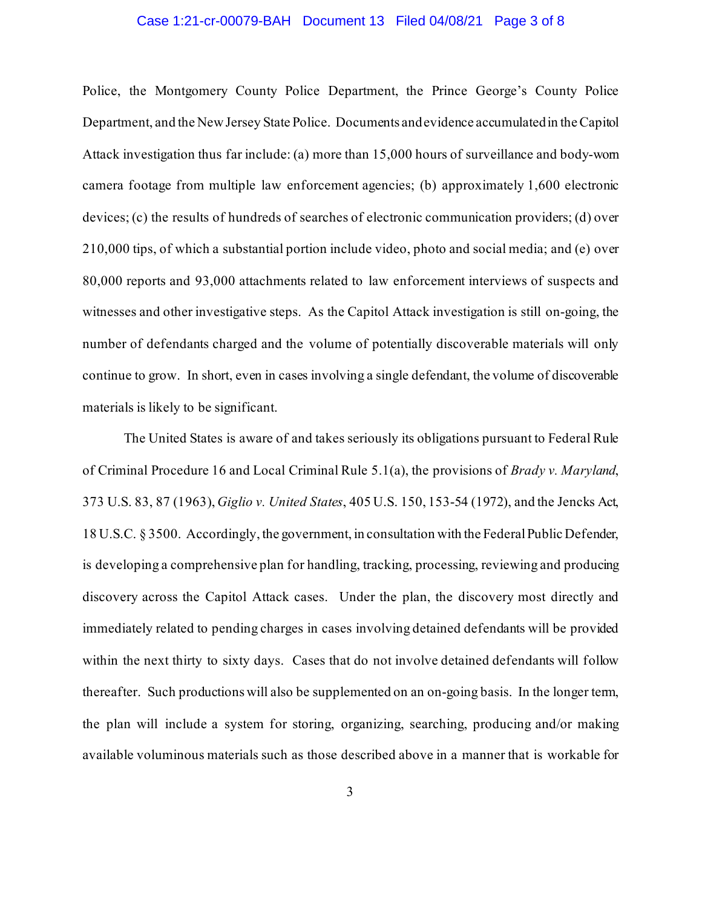### Case 1:21-cr-00079-BAH Document 13 Filed 04/08/21 Page 3 of 8

Police, the Montgomery County Police Department, the Prince George's County Police Department, and the New Jersey State Police. Documents and evidence accumulated in the Capitol Attack investigation thus far include: (a) more than 15,000 hours of surveillance and body-worn camera footage from multiple law enforcement agencies; (b) approximately 1,600 electronic devices; (c) the results of hundreds of searches of electronic communication providers; (d) over 210,000 tips, of which a substantial portion include video, photo and social media; and (e) over 80,000 reports and 93,000 attachments related to law enforcement interviews of suspects and witnesses and other investigative steps. As the Capitol Attack investigation is still on-going, the number of defendants charged and the volume of potentially discoverable materials will only continue to grow. In short, even in cases involving a single defendant, the volume of discoverable materials is likely to be significant.

The United States is aware of and takes seriously its obligations pursuant to Federal Rule of Criminal Procedure 16 and Local Criminal Rule 5.1(a), the provisions of *Brady v. Maryland*, 373 U.S. 83, 87 (1963), *Giglio v. United States*, 405 U.S. 150, 153-54 (1972), and the Jencks Act, 18 U.S.C. § 3500. Accordingly, the government, in consultation with the Federal Public Defender, is developing a comprehensive plan for handling, tracking, processing, reviewing and producing discovery across the Capitol Attack cases. Under the plan, the discovery most directly and immediately related to pending charges in cases involving detained defendants will be provided within the next thirty to sixty days. Cases that do not involve detained defendants will follow thereafter. Such productions will also be supplemented on an on-going basis. In the longer term, the plan will include a system for storing, organizing, searching, producing and/or making available voluminous materials such as those described above in a manner that is workable for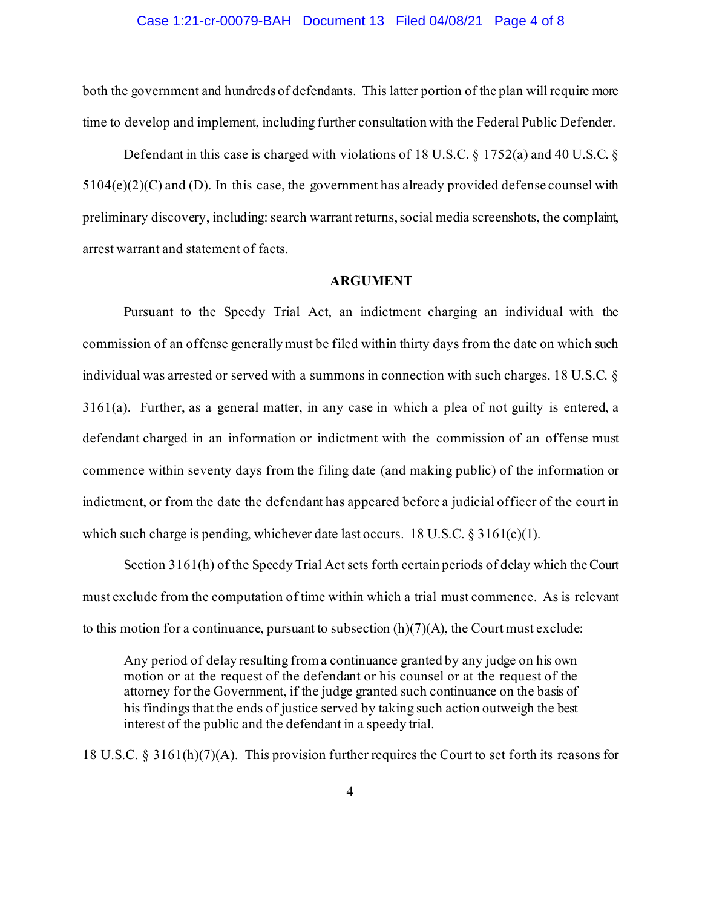#### Case 1:21-cr-00079-BAH Document 13 Filed 04/08/21 Page 4 of 8

both the government and hundreds of defendants. This latter portion of the plan will require more time to develop and implement, including further consultation with the Federal Public Defender.

Defendant in this case is charged with violations of 18 U.S.C. § 1752(a) and 40 U.S.C. §  $5104(e)(2)(C)$  and (D). In this case, the government has already provided defense counsel with preliminary discovery, including: search warrant returns, social media screenshots, the complaint, arrest warrant and statement of facts.

#### **ARGUMENT**

Pursuant to the Speedy Trial Act, an indictment charging an individual with the commission of an offense generally must be filed within thirty days from the date on which such individual was arrested or served with a summons in connection with such charges. 18 U.S.C. § 3161(a). Further, as a general matter, in any case in which a plea of not guilty is entered, a defendant charged in an information or indictment with the commission of an offense must commence within seventy days from the filing date (and making public) of the information or indictment, or from the date the defendant has appeared before a judicial officer of the court in which such charge is pending, whichever date last occurs. 18 U.S.C.  $\S 3161(c)(1)$ .

Section 3161(h) of the Speedy Trial Act sets forth certain periods of delay which the Court must exclude from the computation of time within which a trial must commence. As is relevant to this motion for a continuance, pursuant to subsection  $(h)(7)(A)$ , the Court must exclude:

Any period of delay resulting from a continuance granted by any judge on his own motion or at the request of the defendant or his counsel or at the request of the attorney for the Government, if the judge granted such continuance on the basis of his findings that the ends of justice served by taking such action outweigh the best interest of the public and the defendant in a speedy trial.

18 U.S.C. § 3161(h)(7)(A). This provision further requires the Court to set forth its reasons for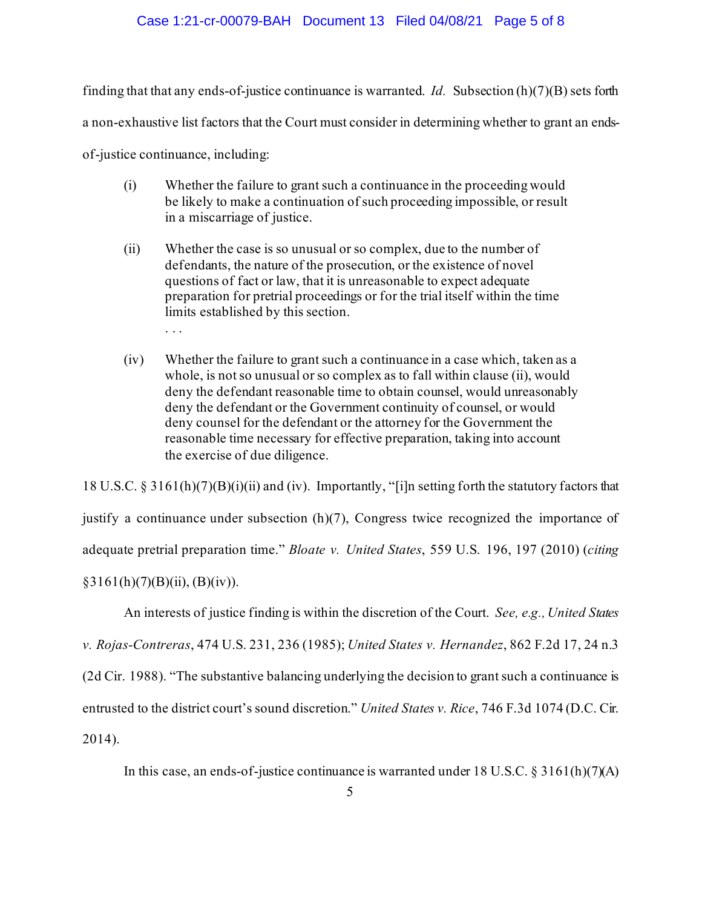### Case 1:21-cr-00079-BAH Document 13 Filed 04/08/21 Page 5 of 8

finding that that any ends-of-justice continuance is warranted. *Id.* Subsection (h)(7)(B) sets forth

a non-exhaustive list factors that the Court must consider in determining whether to grant an ends-

of-justice continuance, including:

- (i) Whether the failure to grant such a continuance in the proceeding would be likely to make a continuation of such proceeding impossible, or result in a miscarriage of justice.
- (ii) Whether the case is so unusual or so complex, due to the number of defendants, the nature of the prosecution, or the existence of novel questions of fact or law, that it is unreasonable to expect adequate preparation for pretrial proceedings or for the trial itself within the time limits established by this section. . . .
- (iv) Whether the failure to grant such a continuance in a case which, taken as a whole, is not so unusual or so complex as to fall within clause (ii), would deny the defendant reasonable time to obtain counsel, would unreasonably deny the defendant or the Government continuity of counsel, or would deny counsel for the defendant or the attorney for the Government the reasonable time necessary for effective preparation, taking into account the exercise of due diligence.

18 U.S.C. § 3161(h)(7)(B)(i)(ii) and (iv). Importantly, "[i]n setting forth the statutory factors that justify a continuance under subsection (h)(7), Congress twice recognized the importance of adequate pretrial preparation time." *Bloate v. United States*, 559 U.S. 196, 197 (2010) (*citing*  $§3161(h)(7)(B)(ii), (B)(iv)).$ 

An interests of justice finding is within the discretion of the Court. *See, e.g., United States* 

*v. Rojas-Contreras*, 474 U.S. 231, 236 (1985); *United States v. Hernandez*, 862 F.2d 17, 24 n.3

(2d Cir. 1988). "The substantive balancing underlying the decision to grant such a continuance is

entrusted to the district court's sound discretion." *United States v. Rice*, 746 F.3d 1074 (D.C. Cir.

2014).

In this case, an ends-of-justice continuance is warranted under 18 U.S.C.  $\S 3161(h)(7)(A)$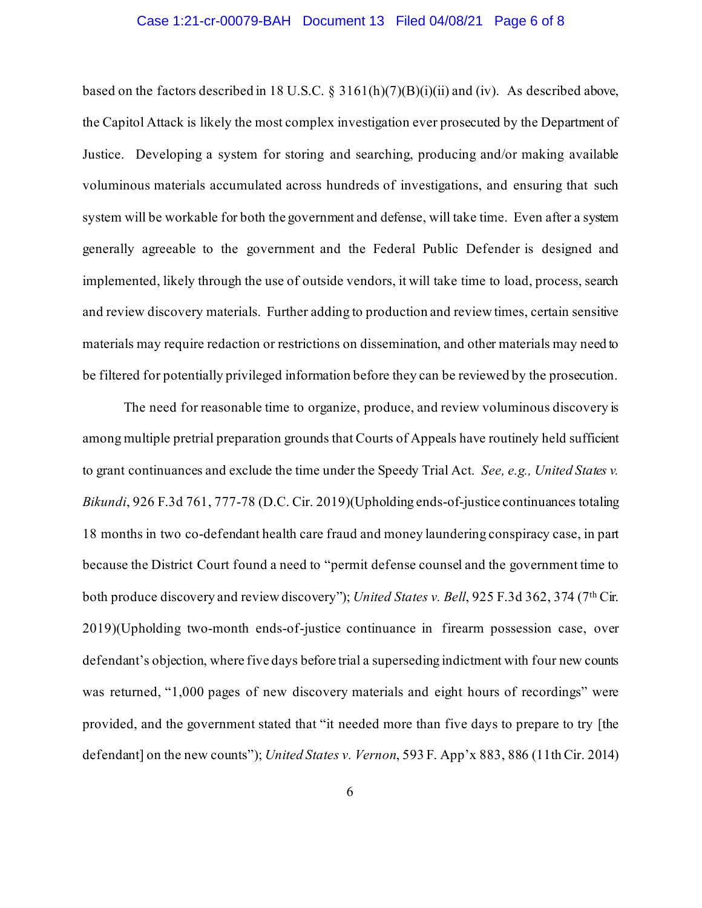### Case 1:21-cr-00079-BAH Document 13 Filed 04/08/21 Page 6 of 8

based on the factors described in 18 U.S.C. § 3161(h)(7)(B)(i)(ii) and (iv). As described above, the Capitol Attack is likely the most complex investigation ever prosecuted by the Department of Justice. Developing a system for storing and searching, producing and/or making available voluminous materials accumulated across hundreds of investigations, and ensuring that such system will be workable for both the government and defense, will take time. Even after a system generally agreeable to the government and the Federal Public Defender is designed and implemented, likely through the use of outside vendors, it will take time to load, process, search and review discovery materials. Further adding to production and review times, certain sensitive materials may require redaction or restrictions on dissemination, and other materials may need to be filtered for potentially privileged information before they can be reviewed by the prosecution.

The need for reasonable time to organize, produce, and review voluminous discovery is among multiple pretrial preparation grounds that Courts of Appeals have routinely held sufficient to grant continuances and exclude the time under the Speedy Trial Act. *See, e.g., United States v. Bikundi*, 926 F.3d 761, 777-78 (D.C. Cir. 2019)(Upholding ends-of-justice continuances totaling 18 months in two co-defendant health care fraud and money laundering conspiracy case, in part because the District Court found a need to "permit defense counsel and the government time to both produce discovery and review discovery"); *United States v. Bell*, 925 F.3d 362, 374 (7<sup>th</sup> Cir. 2019)(Upholding two-month ends-of-justice continuance in firearm possession case, over defendant's objection, where five days before trial a superseding indictment with four new counts was returned, "1,000 pages of new discovery materials and eight hours of recordings" were provided, and the government stated that "it needed more than five days to prepare to try [the defendant] on the new counts"); *United States v. Vernon*, 593 F. App'x 883, 886 (11th Cir. 2014)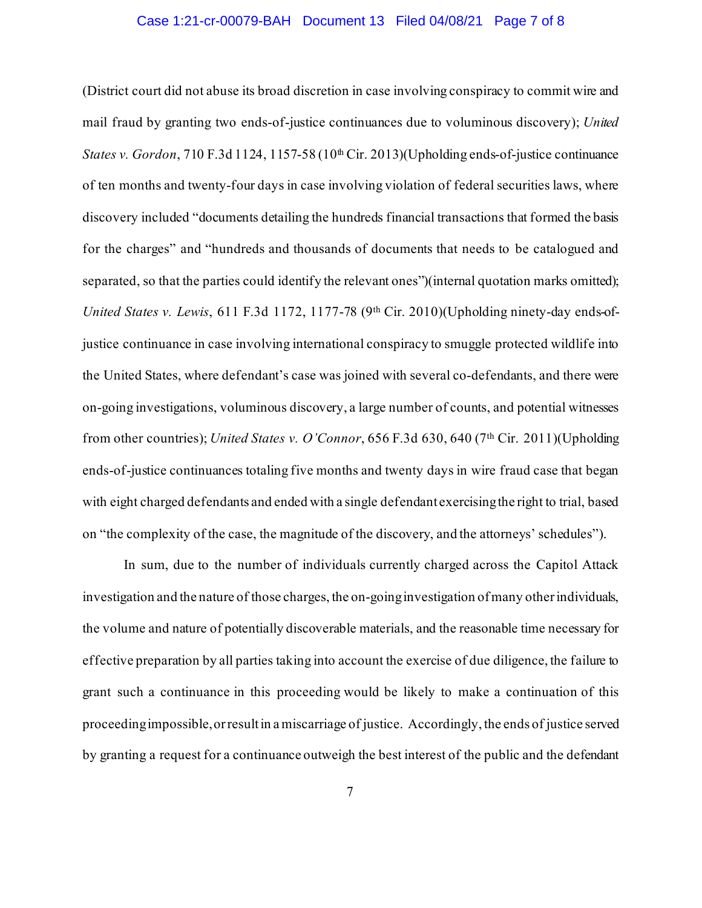### Case 1:21-cr-00079-BAH Document 13 Filed 04/08/21 Page 7 of 8

(District court did not abuse its broad discretion in case involving conspiracy to commit wire and mail fraud by granting two ends-of-justice continuances due to voluminous discovery); *United States v. Gordon*, 710 F.3d 1124, 1157-58 (10<sup>th</sup> Cir. 2013)(Upholding ends-of-justice continuance of ten months and twenty-four days in case involving violation of federal securities laws, where discovery included "documents detailing the hundreds financial transactions that formed the basis for the charges" and "hundreds and thousands of documents that needs to be catalogued and separated, so that the parties could identify the relevant ones")(internal quotation marks omitted); *United States v. Lewis, 611 F.3d 1172, 1177-78 (9th Cir. 2010)*(Upholding ninety-day ends-ofjustice continuance in case involving international conspiracy to smuggle protected wildlife into the United States, where defendant's case was joined with several co-defendants, and there were on-going investigations, voluminous discovery, a large number of counts, and potential witnesses from other countries); *United States v. O'Connor*, 656 F.3d 630, 640 (7th Cir. 2011)(Upholding ends-of-justice continuances totaling five months and twenty days in wire fraud case that began with eight charged defendants and ended with a single defendant exercising the right to trial, based on "the complexity of the case, the magnitude of the discovery, and the attorneys' schedules").

In sum, due to the number of individuals currently charged across the Capitol Attack investigation and the nature of those charges, the on-going investigation of many other individuals, the volume and nature of potentially discoverable materials, and the reasonable time necessary for effective preparation by all parties taking into account the exercise of due diligence, the failure to grant such a continuance in this proceeding would be likely to make a continuation of this proceeding impossible, or result in a miscarriage of justice. Accordingly, the ends of justice served by granting a request for a continuance outweigh the best interest of the public and the defendant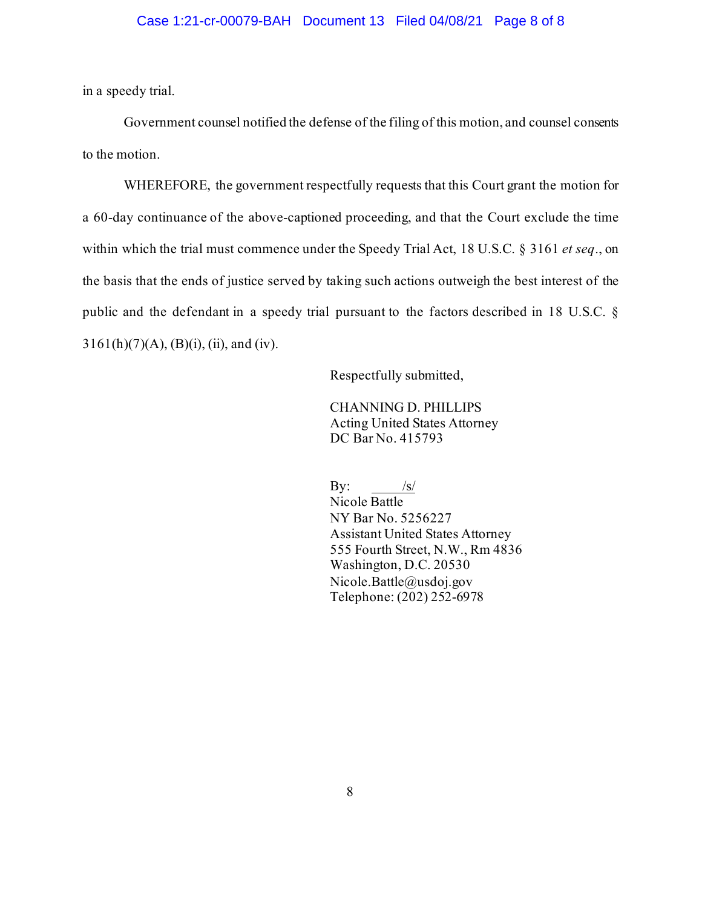in a speedy trial.

Government counsel notified the defense of the filing of this motion, and counsel consents to the motion.

WHEREFORE, the government respectfully requests that this Court grant the motion for a 60-day continuance of the above-captioned proceeding, and that the Court exclude the time within which the trial must commence under the Speedy Trial Act, 18 U.S.C. § 3161 *et seq*., on the basis that the ends of justice served by taking such actions outweigh the best interest of the public and the defendant in a speedy trial pursuant to the factors described in 18 U.S.C. §  $3161(h)(7)(A), (B)(i), (ii), and (iv).$ 

Respectfully submitted,

CHANNING D. PHILLIPS Acting United States Attorney DC Bar No. 415793

By:  $/s/$ Nicole Battle NY Bar No. 5256227 Assistant United States Attorney 555 Fourth Street, N.W., Rm 4836 Washington, D.C. 20530 Nicole.Battle@usdoj.gov Telephone: (202) 252-6978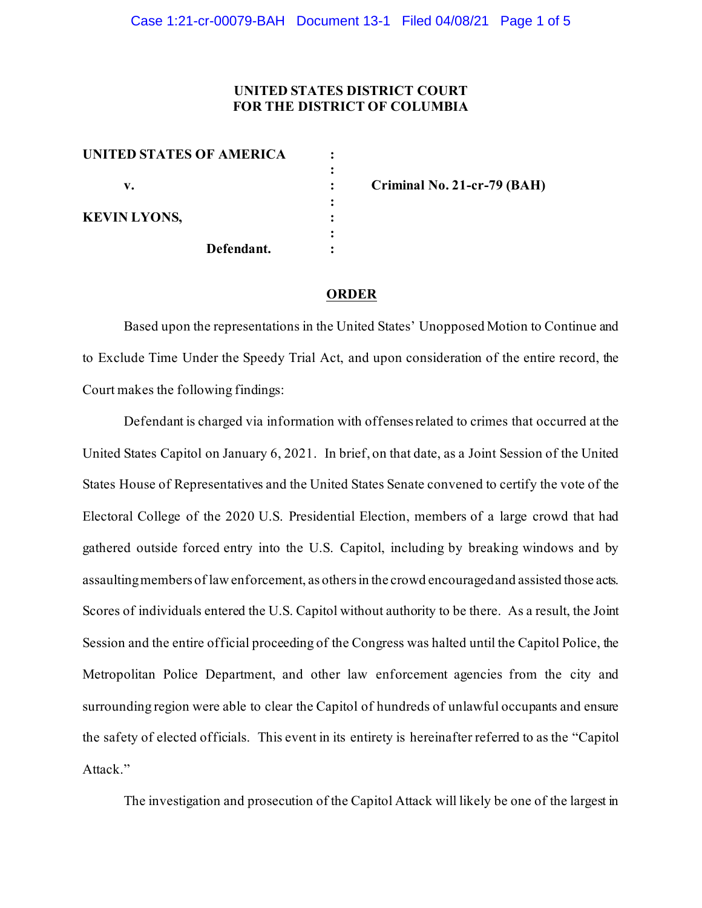### **UNITED STATES DISTRICT COURT FOR THE DISTRICT OF COLUMBIA**

| UNITED STATES OF AMERICA |            |  |
|--------------------------|------------|--|
| v.                       |            |  |
|                          |            |  |
| <b>KEVIN LYONS,</b>      |            |  |
|                          | Defendant. |  |

**v. : Criminal No. 21-cr-79 (BAH)**

#### **ORDER**

Based upon the representations in the United States' Unopposed Motion to Continue and to Exclude Time Under the Speedy Trial Act, and upon consideration of the entire record, the Court makes the following findings:

Defendant is charged via information with offenses related to crimes that occurred at the United States Capitol on January 6, 2021. In brief, on that date, as a Joint Session of the United States House of Representatives and the United States Senate convened to certify the vote of the Electoral College of the 2020 U.S. Presidential Election, members of a large crowd that had gathered outside forced entry into the U.S. Capitol, including by breaking windows and by assaulting members of law enforcement, as others in the crowd encouraged and assisted those acts. Scores of individuals entered the U.S. Capitol without authority to be there. As a result, the Joint Session and the entire official proceeding of the Congress was halted until the Capitol Police, the Metropolitan Police Department, and other law enforcement agencies from the city and surrounding region were able to clear the Capitol of hundreds of unlawful occupants and ensure the safety of elected officials. This event in its entirety is hereinafter referred to as the "Capitol Attack."

The investigation and prosecution of the Capitol Attack will likely be one of the largest in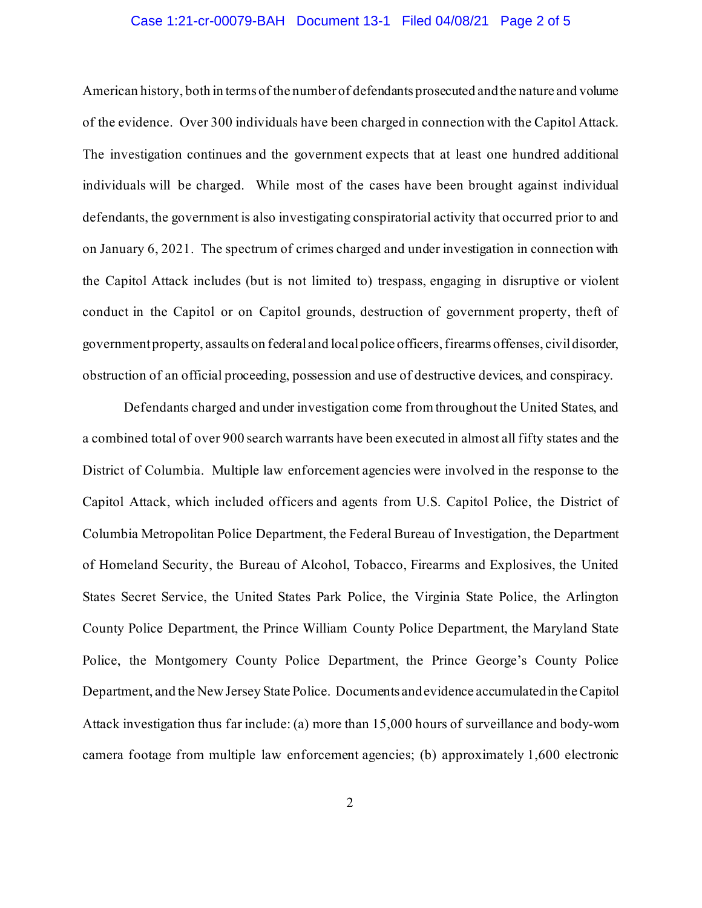### Case 1:21-cr-00079-BAH Document 13-1 Filed 04/08/21 Page 2 of 5

American history, both in terms of the number of defendants prosecuted and the nature and volume of the evidence. Over 300 individuals have been charged in connection with the Capitol Attack. The investigation continues and the government expects that at least one hundred additional individuals will be charged. While most of the cases have been brought against individual defendants, the government is also investigating conspiratorial activity that occurred prior to and on January 6, 2021. The spectrum of crimes charged and under investigation in connection with the Capitol Attack includes (but is not limited to) trespass, engaging in disruptive or violent conduct in the Capitol or on Capitol grounds, destruction of government property, theft of government property, assaults on federal and local police officers, firearms offenses, civil disorder, obstruction of an official proceeding, possession and use of destructive devices, and conspiracy.

Defendants charged and under investigation come from throughout the United States, and a combined total of over 900 search warrants have been executed in almost all fifty states and the District of Columbia. Multiple law enforcement agencies were involved in the response to the Capitol Attack, which included officers and agents from U.S. Capitol Police, the District of Columbia Metropolitan Police Department, the Federal Bureau of Investigation, the Department of Homeland Security, the Bureau of Alcohol, Tobacco, Firearms and Explosives, the United States Secret Service, the United States Park Police, the Virginia State Police, the Arlington County Police Department, the Prince William County Police Department, the Maryland State Police, the Montgomery County Police Department, the Prince George's County Police Department, and the New Jersey State Police. Documents and evidence accumulated in the Capitol Attack investigation thus far include: (a) more than 15,000 hours of surveillance and body-worn camera footage from multiple law enforcement agencies; (b) approximately 1,600 electronic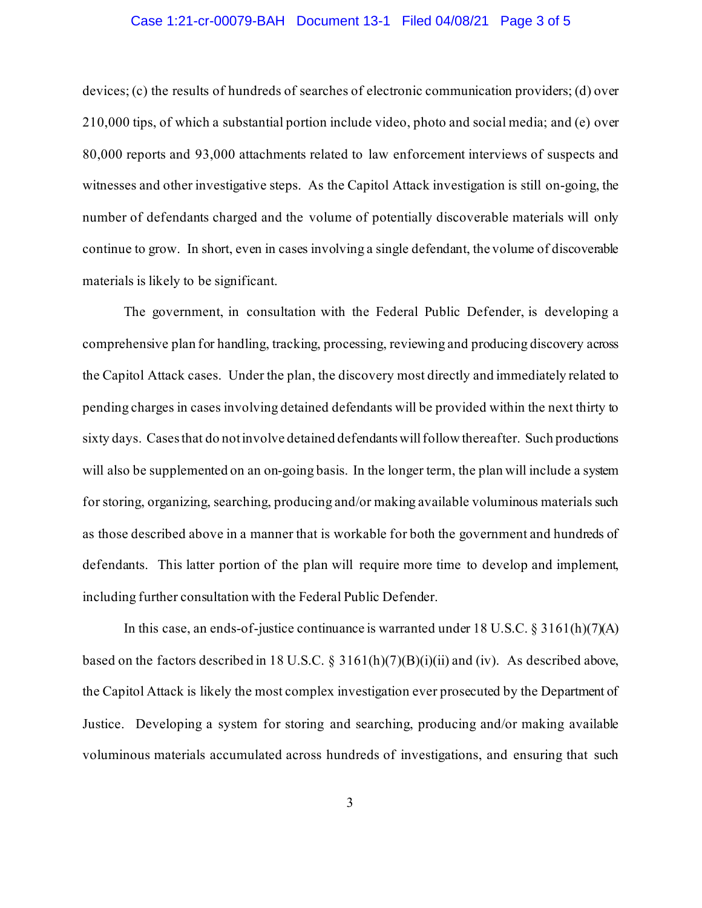### Case 1:21-cr-00079-BAH Document 13-1 Filed 04/08/21 Page 3 of 5

devices; (c) the results of hundreds of searches of electronic communication providers; (d) over 210,000 tips, of which a substantial portion include video, photo and social media; and (e) over 80,000 reports and 93,000 attachments related to law enforcement interviews of suspects and witnesses and other investigative steps. As the Capitol Attack investigation is still on-going, the number of defendants charged and the volume of potentially discoverable materials will only continue to grow. In short, even in cases involving a single defendant, the volume of discoverable materials is likely to be significant.

The government, in consultation with the Federal Public Defender, is developing a comprehensive plan for handling, tracking, processing, reviewing and producing discovery across the Capitol Attack cases. Under the plan, the discovery most directly and immediately related to pending charges in cases involving detained defendants will be provided within the next thirty to sixty days. Cases that do not involve detained defendants will follow thereafter. Such productions will also be supplemented on an on-going basis. In the longer term, the plan will include a system for storing, organizing, searching, producing and/or making available voluminous materials such as those described above in a manner that is workable for both the government and hundreds of defendants. This latter portion of the plan will require more time to develop and implement, including further consultation with the Federal Public Defender.

In this case, an ends-of-justice continuance is warranted under 18 U.S.C. § 3161(h)(7)(A) based on the factors described in 18 U.S.C. § 3161(h)(7)(B)(i)(ii) and (iv). As described above, the Capitol Attack is likely the most complex investigation ever prosecuted by the Department of Justice. Developing a system for storing and searching, producing and/or making available voluminous materials accumulated across hundreds of investigations, and ensuring that such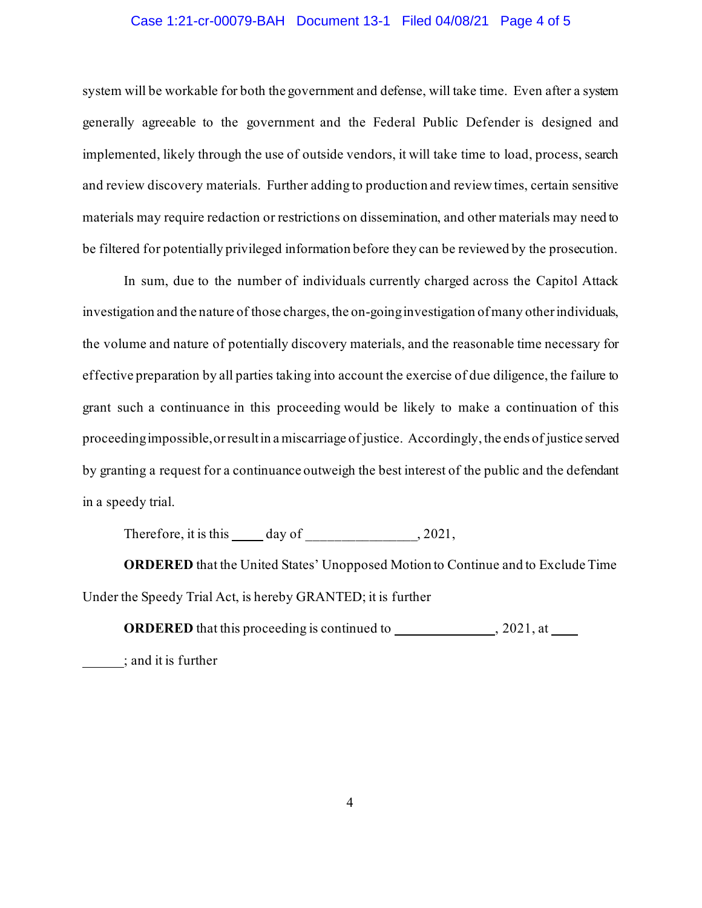### Case 1:21-cr-00079-BAH Document 13-1 Filed 04/08/21 Page 4 of 5

system will be workable for both the government and defense, will take time. Even after a system generally agreeable to the government and the Federal Public Defender is designed and implemented, likely through the use of outside vendors, it will take time to load, process, search and review discovery materials. Further adding to production and review times, certain sensitive materials may require redaction or restrictions on dissemination, and other materials may need to be filtered for potentially privileged information before they can be reviewed by the prosecution.

In sum, due to the number of individuals currently charged across the Capitol Attack investigation and the nature of those charges, the on-going investigation of many other individuals, the volume and nature of potentially discovery materials, and the reasonable time necessary for effective preparation by all parties taking into account the exercise of due diligence, the failure to grant such a continuance in this proceeding would be likely to make a continuation of this proceeding impossible, or result in a miscarriage of justice. Accordingly, the ends of justice served by granting a request for a continuance outweigh the best interest of the public and the defendant in a speedy trial.

Therefore, it is this  $\_\_\_\_$  day of  $\_\_\_$ , 2021,

**ORDERED** that the United States' Unopposed Motion to Continue and to Exclude Time Under the Speedy Trial Act, is hereby GRANTED; it is further

**ORDERED** that this proceeding is continued to , 2021, at

; and it is further